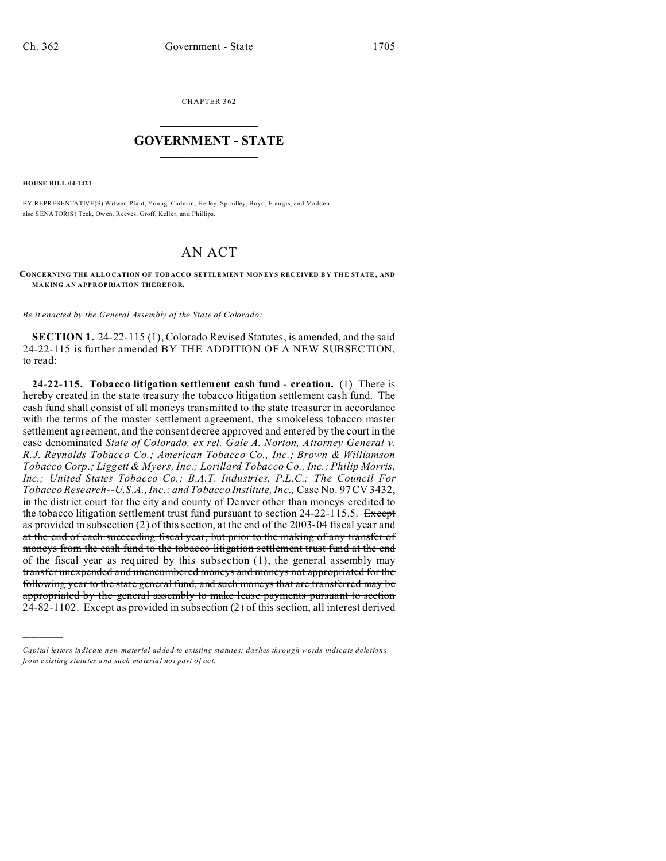CHAPTER 362  $\overline{\phantom{a}}$  , where  $\overline{\phantom{a}}$ 

## **GOVERNMENT - STATE**  $\_$   $\_$

**HOUSE BILL 04-1421**

)))))

BY REPRESENTATIVE(S) Witwer, Plant, Young, Cadman, Hefley, Spradley, Boyd, Frangas, and Madden; also SENATOR(S) Teck, Owen, Reeves, Groff, Keller, and Phillips.

## AN ACT

**CONCERNING THE A LLO CATION OF TOB ACCO SETTLE MEN T MON EY S REC EIVED B Y THE STATE, AND MAKING AN APPROPRIATION THEREFOR.**

*Be it enacted by the General Assembly of the State of Colorado:*

**SECTION 1.** 24-22-115 (1), Colorado Revised Statutes, is amended, and the said 24-22-115 is further amended BY THE ADDITION OF A NEW SUBSECTION, to read:

**24-22-115. Tobacco litigation settlement cash fund - creation.** (1) There is hereby created in the state treasury the tobacco litigation settlement cash fund. The cash fund shall consist of all moneys transmitted to the state treasurer in accordance with the terms of the master settlement agreement, the smokeless tobacco master settlement agreement, and the consent decree approved and entered by the court in the case denominated *State of Colorado, ex rel. Gale A. Norton, Attorney General v. R.J. Reynolds Tobacco Co.; American Tobacco Co., Inc.; Brown & Williamson Tobacco Corp.; Liggett & Myers, Inc.; Lorillard Tobacco Co., Inc.; Philip Morris, Inc.; United States Tobacco Co.; B.A.T. Industries, P.L.C.; The Council For Tobacco Research--U.S.A., Inc.; and Tobacco Institute, Inc.,* Case No. 97 CV 3432, in the district court for the city and county of Denver other than moneys credited to the tobacco litigation settlement trust fund pursuant to section  $24-22-115.5$ . Except as provided in subsection  $(2)$  of this section, at the end of the 2003-04 fiscal year and at the end of each succeeding fiscal year, but prior to the making of any transfer of moneys from the cash fund to the tobacco litigation settlement trust fund at the end of the fiscal year as required by this subsection (1), the general assembly may transfer unexpended and unencumbered moneys and moneys not appropriated for the following year to the state general fund, and such moneys that are transferred may be appropriated by the general assembly to make lease payments pursuant to section  $24-82-1102$ . Except as provided in subsection (2) of this section, all interest derived

*Capital letters indicate new material added to existing statutes; dashes through words indicate deletions from e xistin g statu tes a nd such ma teria l no t pa rt of ac t.*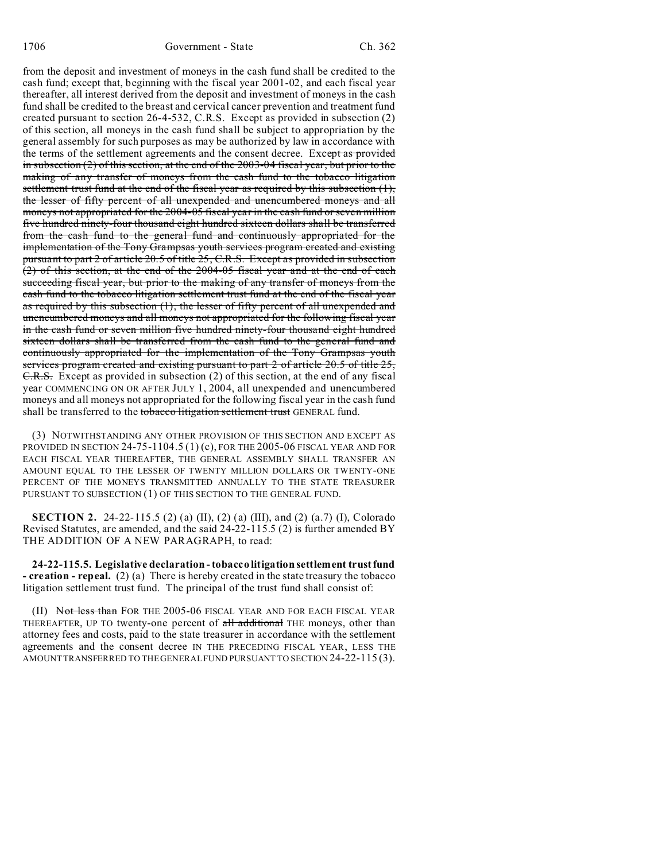from the deposit and investment of moneys in the cash fund shall be credited to the cash fund; except that, beginning with the fiscal year 2001-02, and each fiscal year thereafter, all interest derived from the deposit and investment of moneys in the cash fund shall be credited to the breast and cervical cancer prevention and treatment fund created pursuant to section 26-4-532, C.R.S. Except as provided in subsection (2) of this section, all moneys in the cash fund shall be subject to appropriation by the general assembly for such purposes as may be authorized by law in accordance with the terms of the settlement agreements and the consent decree. Except as provided in subsection  $(2)$  of this section, at the end of the 2003-04 fiscal year, but prior to the making of any transfer of moneys from the cash fund to the tobacco litigation settlement trust fund at the end of the fiscal year as required by this subsection  $(1)$ , the lesser of fifty percent of all unexpended and unencumbered moneys and all moneys not appropriated for the 2004-05 fiscal year in the cash fund or seven million five hundred ninety-four thousand eight hundred sixteen dollars shall be transferred from the cash fund to the general fund and continuously appropriated for the implementation of the Tony Grampsas youth services program created and existing pursuant to part 2 of article 20.5 of title 25, C.R.S. Except as provided in subsection (2) of this section, at the end of the 2004-05 fiscal year and at the end of each succeeding fiscal year, but prior to the making of any transfer of moneys from the cash fund to the tobacco litigation settlement trust fund at the end of the fiscal year as required by this subsection (1), the lesser of fifty percent of all unexpended and unencumbered moneys and all moneys not appropriated for the following fiscal year in the cash fund or seven million five hundred ninety-four thousand eight hundred sixteen dollars shall be transferred from the cash fund to the general fund and continuously appropriated for the implementation of the Tony Grampsas youth services program created and existing pursuant to part 2 of article 20.5 of title 25, C.R.S. Except as provided in subsection (2) of this section, at the end of any fiscal year COMMENCING ON OR AFTER JULY 1, 2004, all unexpended and unencumbered moneys and all moneys not appropriated for the following fiscal year in the cash fund shall be transferred to the tobacco litigation settlement trust GENERAL fund.

(3) NOTWITHSTANDING ANY OTHER PROVISION OF THIS SECTION AND EXCEPT AS PROVIDED IN SECTION 24-75-1104.5 (1) (c), FOR THE 2005-06 FISCAL YEAR AND FOR EACH FISCAL YEAR THEREAFTER, THE GENERAL ASSEMBLY SHALL TRANSFER AN AMOUNT EQUAL TO THE LESSER OF TWENTY MILLION DOLLARS OR TWENTY-ONE PERCENT OF THE MONEYS TRANSMITTED ANNUALLY TO THE STATE TREASURER PURSUANT TO SUBSECTION (1) OF THIS SECTION TO THE GENERAL FUND.

**SECTION 2.** 24-22-115.5 (2) (a) (II), (2) (a) (III), and (2) (a.7) (I), Colorado Revised Statutes, are amended, and the said 24-22-115.5 (2) is further amended BY THE ADDITION OF A NEW PARAGRAPH, to read:

**24-22-115.5. Legislative declaration - tobacco litigation settlement trust fund - creation - repeal.** (2) (a) There is hereby created in the state treasury the tobacco litigation settlement trust fund. The principal of the trust fund shall consist of:

(II) Not less than FOR THE 2005-06 FISCAL YEAR AND FOR EACH FISCAL YEAR THEREAFTER, UP TO twenty-one percent of all additional THE moneys, other than attorney fees and costs, paid to the state treasurer in accordance with the settlement agreements and the consent decree IN THE PRECEDING FISCAL YEAR, LESS THE AMOUNT TRANSFERRED TO THE GENERAL FUND PURSUANT TO SECTION 24-22-115 (3).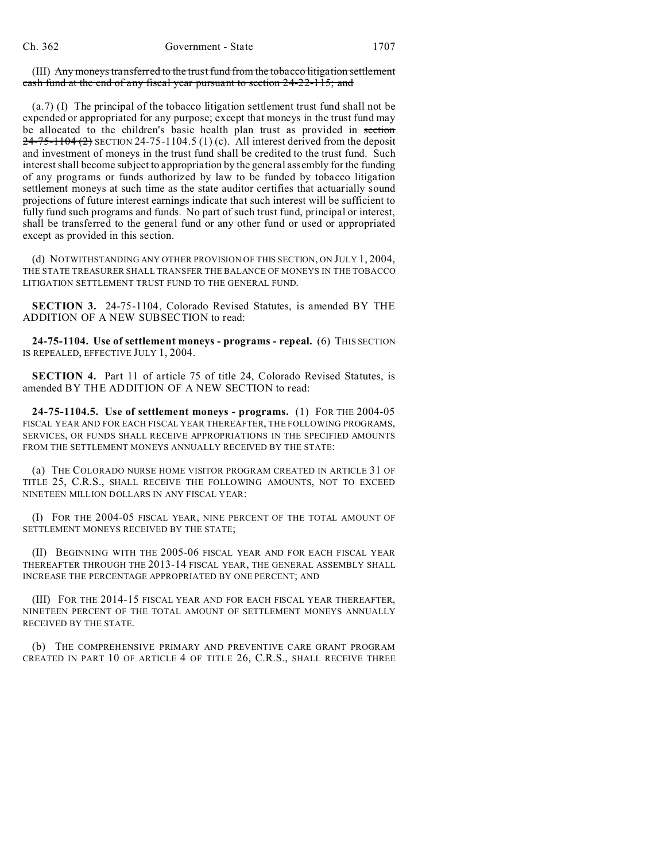(III) Any moneys transferred to the trust fund from the tobacco litigation settlement cash fund at the end of any fiscal year pursuant to section 24-22-115; and

(a.7) (I) The principal of the tobacco litigation settlement trust fund shall not be expended or appropriated for any purpose; except that moneys in the trust fund may be allocated to the children's basic health plan trust as provided in section  $24-75-1104(2)$  SECTION 24-75-1104.5 (1) (c). All interest derived from the deposit and investment of moneys in the trust fund shall be credited to the trust fund. Such interest shall become subject to appropriation by the general assembly for the funding of any programs or funds authorized by law to be funded by tobacco litigation settlement moneys at such time as the state auditor certifies that actuarially sound projections of future interest earnings indicate that such interest will be sufficient to fully fund such programs and funds. No part of such trust fund, principal or interest, shall be transferred to the general fund or any other fund or used or appropriated except as provided in this section.

(d) NOTWITHSTANDING ANY OTHER PROVISION OF THIS SECTION, ON JULY 1, 2004, THE STATE TREASURER SHALL TRANSFER THE BALANCE OF MONEYS IN THE TOBACCO LITIGATION SETTLEMENT TRUST FUND TO THE GENERAL FUND.

**SECTION 3.** 24-75-1104, Colorado Revised Statutes, is amended BY THE ADDITION OF A NEW SUBSECTION to read:

**24-75-1104. Use of settlement moneys - programs - repeal.** (6) THIS SECTION IS REPEALED, EFFECTIVE JULY 1, 2004.

**SECTION 4.** Part 11 of article 75 of title 24, Colorado Revised Statutes, is amended BY THE ADDITION OF A NEW SECTION to read:

**24-75-1104.5. Use of settlement moneys - programs.** (1) FOR THE 2004-05 FISCAL YEAR AND FOR EACH FISCAL YEAR THEREAFTER, THE FOLLOWING PROGRAMS, SERVICES, OR FUNDS SHALL RECEIVE APPROPRIATIONS IN THE SPECIFIED AMOUNTS FROM THE SETTLEMENT MONEYS ANNUALLY RECEIVED BY THE STATE:

(a) THE COLORADO NURSE HOME VISITOR PROGRAM CREATED IN ARTICLE 31 OF TITLE 25, C.R.S., SHALL RECEIVE THE FOLLOWING AMOUNTS, NOT TO EXCEED NINETEEN MILLION DOLLARS IN ANY FISCAL YEAR:

(I) FOR THE 2004-05 FISCAL YEAR, NINE PERCENT OF THE TOTAL AMOUNT OF SETTLEMENT MONEYS RECEIVED BY THE STATE;

(II) BEGINNING WITH THE 2005-06 FISCAL YEAR AND FOR EACH FISCAL YEAR THEREAFTER THROUGH THE 2013-14 FISCAL YEAR, THE GENERAL ASSEMBLY SHALL INCREASE THE PERCENTAGE APPROPRIATED BY ONE PERCENT; AND

(III) FOR THE 2014-15 FISCAL YEAR AND FOR EACH FISCAL YEAR THEREAFTER, NINETEEN PERCENT OF THE TOTAL AMOUNT OF SETTLEMENT MONEYS ANNUALLY RECEIVED BY THE STATE.

(b) THE COMPREHENSIVE PRIMARY AND PREVENTIVE CARE GRANT PROGRAM CREATED IN PART 10 OF ARTICLE 4 OF TITLE 26, C.R.S., SHALL RECEIVE THREE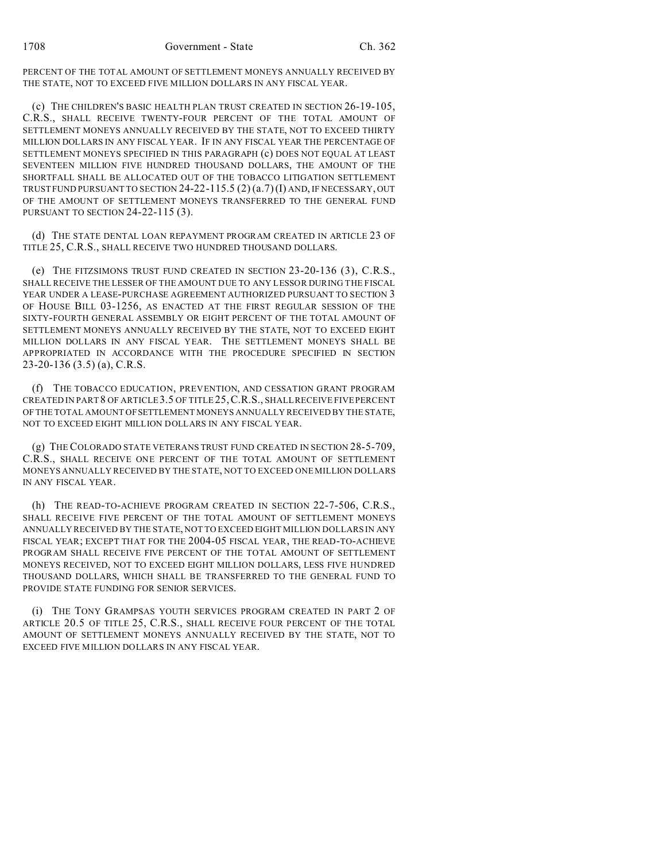PERCENT OF THE TOTAL AMOUNT OF SETTLEMENT MONEYS ANNUALLY RECEIVED BY THE STATE, NOT TO EXCEED FIVE MILLION DOLLARS IN ANY FISCAL YEAR.

(c) THE CHILDREN'S BASIC HEALTH PLAN TRUST CREATED IN SECTION 26-19-105, C.R.S., SHALL RECEIVE TWENTY-FOUR PERCENT OF THE TOTAL AMOUNT OF SETTLEMENT MONEYS ANNUALLY RECEIVED BY THE STATE, NOT TO EXCEED THIRTY MILLION DOLLARS IN ANY FISCAL YEAR. IF IN ANY FISCAL YEAR THE PERCENTAGE OF SETTLEMENT MONEYS SPECIFIED IN THIS PARAGRAPH (c) DOES NOT EQUAL AT LEAST SEVENTEEN MILLION FIVE HUNDRED THOUSAND DOLLARS, THE AMOUNT OF THE SHORTFALL SHALL BE ALLOCATED OUT OF THE TOBACCO LITIGATION SETTLEMENT TRUST FUND PURSUANT TO SECTION  $24-22-115.5$   $(2)$   $(a.7)$  (I) AND, IF NECESSARY, OUT OF THE AMOUNT OF SETTLEMENT MONEYS TRANSFERRED TO THE GENERAL FUND PURSUANT TO SECTION 24-22-115 (3).

(d) THE STATE DENTAL LOAN REPAYMENT PROGRAM CREATED IN ARTICLE 23 OF TITLE 25, C.R.S., SHALL RECEIVE TWO HUNDRED THOUSAND DOLLARS.

(e) THE FITZSIMONS TRUST FUND CREATED IN SECTION 23-20-136 (3), C.R.S., SHALL RECEIVE THE LESSER OF THE AMOUNT DUE TO ANY LESSOR DURING THE FISCAL YEAR UNDER A LEASE-PURCHASE AGREEMENT AUTHORIZED PURSUANT TO SECTION 3 OF HOUSE BILL 03-1256, AS ENACTED AT THE FIRST REGULAR SESSION OF THE SIXTY-FOURTH GENERAL ASSEMBLY OR EIGHT PERCENT OF THE TOTAL AMOUNT OF SETTLEMENT MONEYS ANNUALLY RECEIVED BY THE STATE, NOT TO EXCEED EIGHT MILLION DOLLARS IN ANY FISCAL YEAR. THE SETTLEMENT MONEYS SHALL BE APPROPRIATED IN ACCORDANCE WITH THE PROCEDURE SPECIFIED IN SECTION 23-20-136 (3.5) (a), C.R.S.

(f) THE TOBACCO EDUCATION, PREVENTION, AND CESSATION GRANT PROGRAM CREATED IN PART 8 OF ARTICLE 3.5 OF TITLE 25,C.R.S., SHALL RECEIVE FIVE PERCENT OF THE TOTAL AMOUNT OF SETTLEMENT MONEYS ANNUALLY RECEIVED BY THE STATE, NOT TO EXCEED EIGHT MILLION DOLLARS IN ANY FISCAL YEAR.

(g) THE COLORADO STATE VETERANS TRUST FUND CREATED IN SECTION 28-5-709, C.R.S., SHALL RECEIVE ONE PERCENT OF THE TOTAL AMOUNT OF SETTLEMENT MONEYS ANNUALLY RECEIVED BY THE STATE, NOT TO EXCEED ONE MILLION DOLLARS IN ANY FISCAL YEAR.

(h) THE READ-TO-ACHIEVE PROGRAM CREATED IN SECTION 22-7-506, C.R.S., SHALL RECEIVE FIVE PERCENT OF THE TOTAL AMOUNT OF SETTLEMENT MONEYS ANNUALLY RECEIVED BY THE STATE, NOT TO EXCEED EIGHT MILLION DOLLARS IN ANY FISCAL YEAR; EXCEPT THAT FOR THE 2004-05 FISCAL YEAR, THE READ-TO-ACHIEVE PROGRAM SHALL RECEIVE FIVE PERCENT OF THE TOTAL AMOUNT OF SETTLEMENT MONEYS RECEIVED, NOT TO EXCEED EIGHT MILLION DOLLARS, LESS FIVE HUNDRED THOUSAND DOLLARS, WHICH SHALL BE TRANSFERRED TO THE GENERAL FUND TO PROVIDE STATE FUNDING FOR SENIOR SERVICES.

(i) THE TONY GRAMPSAS YOUTH SERVICES PROGRAM CREATED IN PART 2 OF ARTICLE 20.5 OF TITLE 25, C.R.S., SHALL RECEIVE FOUR PERCENT OF THE TOTAL AMOUNT OF SETTLEMENT MONEYS ANNUALLY RECEIVED BY THE STATE, NOT TO EXCEED FIVE MILLION DOLLARS IN ANY FISCAL YEAR.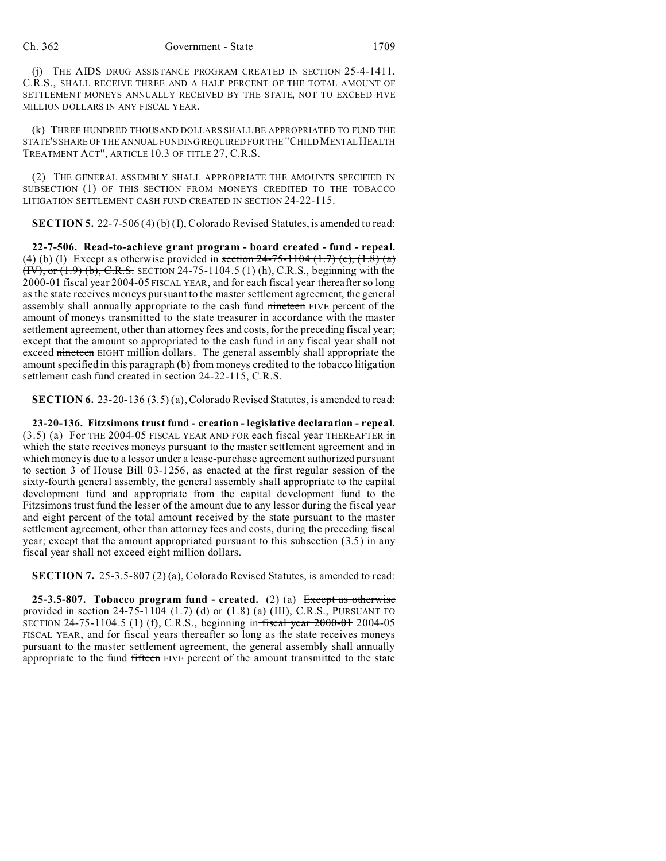(j) THE AIDS DRUG ASSISTANCE PROGRAM CREATED IN SECTION 25-4-1411, C.R.S., SHALL RECEIVE THREE AND A HALF PERCENT OF THE TOTAL AMOUNT OF SETTLEMENT MONEYS ANNUALLY RECEIVED BY THE STATE, NOT TO EXCEED FIVE MILLION DOLLARS IN ANY FISCAL YEAR.

(k) THREE HUNDRED THOUSAND DOLLARS SHALL BE APPROPRIATED TO FUND THE STATE'S SHARE OF THE ANNUAL FUNDING REQUIRED FOR THE "CHILD MENTAL HEALTH TREATMENT ACT", ARTICLE 10.3 OF TITLE 27, C.R.S.

(2) THE GENERAL ASSEMBLY SHALL APPROPRIATE THE AMOUNTS SPECIFIED IN SUBSECTION (1) OF THIS SECTION FROM MONEYS CREDITED TO THE TOBACCO LITIGATION SETTLEMENT CASH FUND CREATED IN SECTION 24-22-115.

**SECTION 5.** 22-7-506 (4) (b) (I), Colorado Revised Statutes, is amended to read:

**22-7-506. Read-to-achieve grant program - board created - fund - repeal.** (4) (b) (I) Except as otherwise provided in section  $24-75-1104$  (1.7) (e), (1.8) (a) (IV), or (1.9) (b), C.R.S. SECTION 24-75-1104.5 (1) (h), C.R.S., beginning with the 2000-01 fiscal year 2004-05 FISCAL YEAR, and for each fiscal year thereafter so long as the state receives moneys pursuant to the master settlement agreement, the general assembly shall annually appropriate to the cash fund nineteen FIVE percent of the amount of moneys transmitted to the state treasurer in accordance with the master settlement agreement, other than attorney fees and costs, for the preceding fiscal year; except that the amount so appropriated to the cash fund in any fiscal year shall not exceed nineteen EIGHT million dollars. The general assembly shall appropriate the amount specified in this paragraph (b) from moneys credited to the tobacco litigation settlement cash fund created in section 24-22-115, C.R.S.

**SECTION 6.** 23-20-136 (3.5) (a), Colorado Revised Statutes, is amended to read:

**23-20-136. Fitzsimons trust fund - creation - legislative declaration - repeal.** (3.5) (a) For THE 2004-05 FISCAL YEAR AND FOR each fiscal year THEREAFTER in which the state receives moneys pursuant to the master settlement agreement and in which money is due to a lessor under a lease-purchase agreement authorized pursuant to section 3 of House Bill 03-1256, as enacted at the first regular session of the sixty-fourth general assembly, the general assembly shall appropriate to the capital development fund and appropriate from the capital development fund to the Fitzsimons trust fund the lesser of the amount due to any lessor during the fiscal year and eight percent of the total amount received by the state pursuant to the master settlement agreement, other than attorney fees and costs, during the preceding fiscal year; except that the amount appropriated pursuant to this subsection (3.5) in any fiscal year shall not exceed eight million dollars.

**SECTION 7.** 25-3.5-807 (2) (a), Colorado Revised Statutes, is amended to read:

**25-3.5-807. Tobacco program fund - created.** (2) (a) Except as otherwise provided in section  $24-75-1104$   $(1.7)$  (d) or  $(1.8)$  (a)  $(HI)$ , C.R.S., PURSUANT TO SECTION 24-75-1104.5 (1) (f), C.R.S., beginning in fiscal year 2000-01 2004-05 FISCAL YEAR, and for fiscal years thereafter so long as the state receives moneys pursuant to the master settlement agreement, the general assembly shall annually appropriate to the fund fifteen FIVE percent of the amount transmitted to the state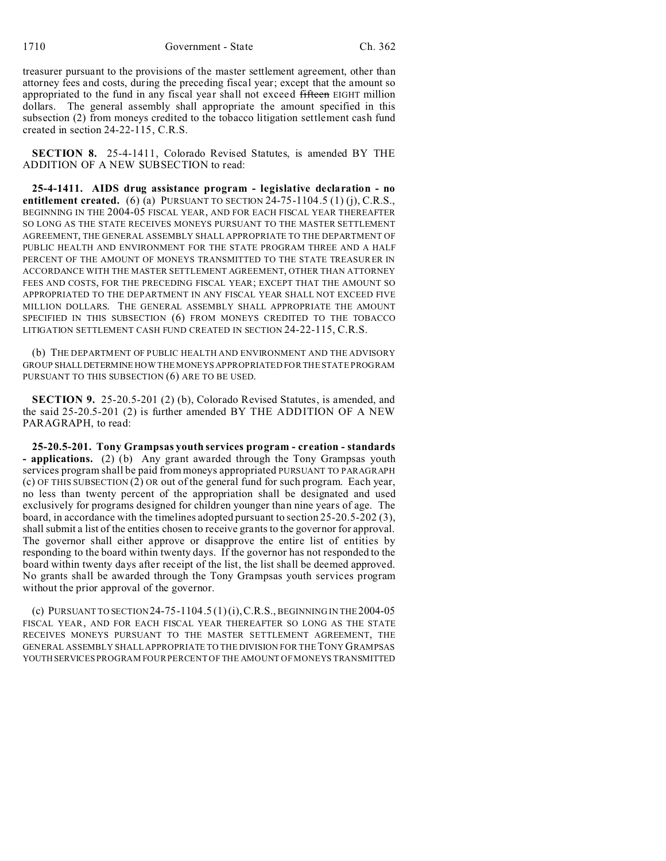treasurer pursuant to the provisions of the master settlement agreement, other than attorney fees and costs, during the preceding fiscal year; except that the amount so appropriated to the fund in any fiscal year shall not exceed fifteen EIGHT million dollars. The general assembly shall appropriate the amount specified in this subsection (2) from moneys credited to the tobacco litigation settlement cash fund created in section 24-22-115, C.R.S.

**SECTION 8.** 25-4-1411, Colorado Revised Statutes, is amended BY THE ADDITION OF A NEW SUBSECTION to read:

**25-4-1411. AIDS drug assistance program - legislative declaration - no entitlement created.** (6) (a) PURSUANT TO SECTION 24-75-1104.5 (1) (j), C.R.S., BEGINNING IN THE 2004-05 FISCAL YEAR, AND FOR EACH FISCAL YEAR THEREAFTER SO LONG AS THE STATE RECEIVES MONEYS PURSUANT TO THE MASTER SETTLEMENT AGREEMENT, THE GENERAL ASSEMBLY SHALL APPROPRIATE TO THE DEPARTMENT OF PUBLIC HEALTH AND ENVIRONMENT FOR THE STATE PROGRAM THREE AND A HALF PERCENT OF THE AMOUNT OF MONEYS TRANSMITTED TO THE STATE TREASURER IN ACCORDANCE WITH THE MASTER SETTLEMENT AGREEMENT, OTHER THAN ATTORNEY FEES AND COSTS, FOR THE PRECEDING FISCAL YEAR; EXCEPT THAT THE AMOUNT SO APPROPRIATED TO THE DEPARTMENT IN ANY FISCAL YEAR SHALL NOT EXCEED FIVE MILLION DOLLARS. THE GENERAL ASSEMBLY SHALL APPROPRIATE THE AMOUNT SPECIFIED IN THIS SUBSECTION (6) FROM MONEYS CREDITED TO THE TOBACCO LITIGATION SETTLEMENT CASH FUND CREATED IN SECTION 24-22-115, C.R.S.

(b) THE DEPARTMENT OF PUBLIC HEALTH AND ENVIRONMENT AND THE ADVISORY GROUP SHALLDETERMINE HOW THE MONEYS APPROPRIATED FOR THE STATE PROGRAM PURSUANT TO THIS SUBSECTION (6) ARE TO BE USED.

**SECTION 9.** 25-20.5-201 (2) (b), Colorado Revised Statutes, is amended, and the said 25-20.5-201 (2) is further amended BY THE ADDITION OF A NEW PARAGRAPH, to read:

**25-20.5-201. Tony Grampsas youth services program - creation - standards - applications.** (2) (b) Any grant awarded through the Tony Grampsas youth services program shall be paid from moneys appropriated PURSUANT TO PARAGRAPH (c) OF THIS SUBSECTION (2) OR out of the general fund for such program. Each year, no less than twenty percent of the appropriation shall be designated and used exclusively for programs designed for children younger than nine years of age. The board, in accordance with the timelines adopted pursuant to section 25-20.5-202 (3), shall submit a list of the entities chosen to receive grants to the governor for approval. The governor shall either approve or disapprove the entire list of entities by responding to the board within twenty days. If the governor has not responded to the board within twenty days after receipt of the list, the list shall be deemed approved. No grants shall be awarded through the Tony Grampsas youth services program without the prior approval of the governor.

(c) PURSUANT TO SECTION  $24-75-1104.5(1)(i)$ , C.R.S., BEGINNING IN THE 2004-05 FISCAL YEAR, AND FOR EACH FISCAL YEAR THEREAFTER SO LONG AS THE STATE RECEIVES MONEYS PURSUANT TO THE MASTER SETTLEMENT AGREEMENT, THE GENERAL ASSEMBLY SHALL APPROPRIATE TO THE DIVISION FOR THE TONY GRAMPSAS YOUTHSERVICES PROGRAM FOUR PERCENT OF THE AMOUNT OF MONEYS TRANSMITTED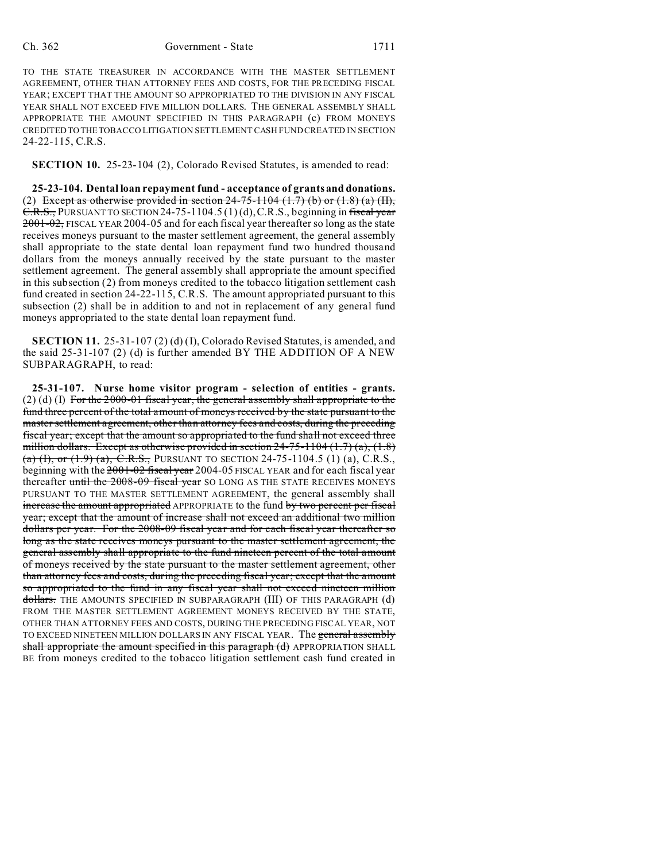## Ch. 362 Government - State 1711

TO THE STATE TREASURER IN ACCORDANCE WITH THE MASTER SETTLEMENT AGREEMENT, OTHER THAN ATTORNEY FEES AND COSTS, FOR THE PRECEDING FISCAL YEAR; EXCEPT THAT THE AMOUNT SO APPROPRIATED TO THE DIVISION IN ANY FISCAL YEAR SHALL NOT EXCEED FIVE MILLION DOLLARS. THE GENERAL ASSEMBLY SHALL APPROPRIATE THE AMOUNT SPECIFIED IN THIS PARAGRAPH (c) FROM MONEYS CREDITED TO THETOBACCO LITIGATION SETTLEMENT CASH FUND CREATED IN SECTION 24-22-115, C.R.S.

**SECTION 10.** 25-23-104 (2), Colorado Revised Statutes, is amended to read:

**25-23-104. Dental loan repayment fund - acceptance of grants and donations.** (2) Except as otherwise provided in section  $24-75-1104$  (1.7) (b) or (1.8) (a) (II),  $C.R.S.,$  PURSUANT TO SECTION 24-75-1104.5 (1) (d), C.R.S., beginning in fiscal year 2001-02, FISCAL YEAR 2004-05 and for each fiscal year thereafter so long as the state receives moneys pursuant to the master settlement agreement, the general assembly shall appropriate to the state dental loan repayment fund two hundred thousand dollars from the moneys annually received by the state pursuant to the master settlement agreement. The general assembly shall appropriate the amount specified in this subsection (2) from moneys credited to the tobacco litigation settlement cash fund created in section 24-22-115, C.R.S. The amount appropriated pursuant to this subsection (2) shall be in addition to and not in replacement of any general fund moneys appropriated to the state dental loan repayment fund.

**SECTION 11.** 25-31-107 (2) (d) (I), Colorado Revised Statutes, is amended, and the said 25-31-107 (2) (d) is further amended BY THE ADDITION OF A NEW SUBPARAGRAPH, to read:

**25-31-107. Nurse home visitor program - selection of entities - grants.**  $(2)$  (d) (I) For the 2000-01 fiscal year, the general assembly shall appropriate to the fund three percent of the total amount of moneys received by the state pursuant to the master settlement agreement, other than attorney fees and costs, during the preceding fiscal year; except that the amount so appropriated to the fund shall not exceed three million dollars. Except as otherwise provided in section  $24-75-1104$  (1.7) (a), (1.8) (a) (I), or (1.9) (a), C.R.S., PURSUANT TO SECTION 24-75-1104.5 (1) (a), C.R.S., beginning with the 2001-02 fiscal year 2004-05 FISCAL YEAR and for each fiscal year thereafter until the 2008-09 fiscal year SO LONG AS THE STATE RECEIVES MONEYS PURSUANT TO THE MASTER SETTLEMENT AGREEMENT, the general assembly shall increase the amount appropriated APPROPRIATE to the fund by two percent per fiscal year; except that the amount of increase shall not exceed an additional two million dollars per year. For the 2008-09 fiscal year and for each fiscal year thereafter so long as the state receives moneys pursuant to the master settlement agreement, the general assembly shall appropriate to the fund nineteen percent of the total amount of moneys received by the state pursuant to the master settlement agreement, other than attorney fees and costs, during the preceding fiscal year; except that the amount so appropriated to the fund in any fiscal year shall not exceed nineteen million dollars. THE AMOUNTS SPECIFIED IN SUBPARAGRAPH (III) OF THIS PARAGRAPH (d) FROM THE MASTER SETTLEMENT AGREEMENT MONEYS RECEIVED BY THE STATE, OTHER THAN ATTORNEY FEES AND COSTS, DURING THE PRECEDING FISCAL YEAR, NOT TO EXCEED NINETEEN MILLION DOLLARS IN ANY FISCAL YEAR. The general assembly shall appropriate the amount specified in this paragraph (d) APPROPRIATION SHALL BE from moneys credited to the tobacco litigation settlement cash fund created in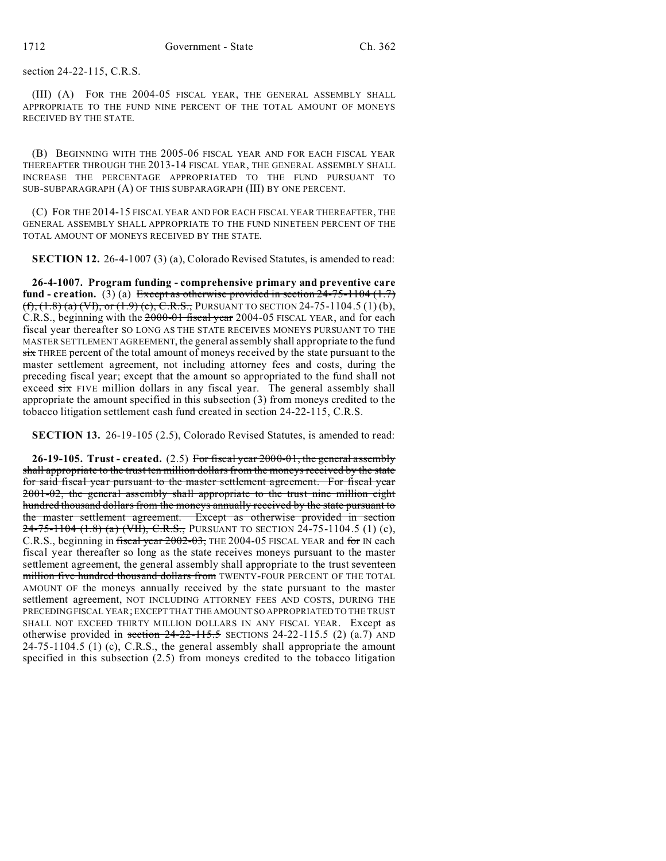section 24-22-115, C.R.S.

(III) (A) FOR THE 2004-05 FISCAL YEAR, THE GENERAL ASSEMBLY SHALL APPROPRIATE TO THE FUND NINE PERCENT OF THE TOTAL AMOUNT OF MONEYS RECEIVED BY THE STATE.

(B) BEGINNING WITH THE 2005-06 FISCAL YEAR AND FOR EACH FISCAL YEAR THEREAFTER THROUGH THE 2013-14 FISCAL YEAR, THE GENERAL ASSEMBLY SHALL INCREASE THE PERCENTAGE APPROPRIATED TO THE FUND PURSUANT TO SUB-SUBPARAGRAPH (A) OF THIS SUBPARAGRAPH (III) BY ONE PERCENT.

(C) FOR THE 2014-15 FISCAL YEAR AND FOR EACH FISCAL YEAR THEREAFTER, THE GENERAL ASSEMBLY SHALL APPROPRIATE TO THE FUND NINETEEN PERCENT OF THE TOTAL AMOUNT OF MONEYS RECEIVED BY THE STATE.

**SECTION 12.** 26-4-1007 (3) (a), Colorado Revised Statutes, is amended to read:

**26-4-1007. Program funding - comprehensive primary and preventive care** fund - creation. (3) (a) Except as otherwise provided in section 24-75-1104 (1.7)  $(f, (1.8)$  (a)  $(VI),$  or  $(1.9)$  (c), C.R.S., PURSUANT TO SECTION 24-75-1104.5 (1) (b), C.R.S., beginning with the 2000-01 fiscal year 2004-05 FISCAL YEAR, and for each fiscal year thereafter SO LONG AS THE STATE RECEIVES MONEYS PURSUANT TO THE MASTER SETTLEMENT AGREEMENT, the general assembly shall appropriate to the fund  $s$ ix THREE percent of the total amount of moneys received by the state pursuant to the master settlement agreement, not including attorney fees and costs, during the preceding fiscal year; except that the amount so appropriated to the fund shall not exceed six FIVE million dollars in any fiscal year. The general assembly shall appropriate the amount specified in this subsection (3) from moneys credited to the tobacco litigation settlement cash fund created in section 24-22-115, C.R.S.

**SECTION 13.** 26-19-105 (2.5), Colorado Revised Statutes, is amended to read:

**26-19-105. Trust - created.** (2.5) For fiscal year 2000-01, the general assembly shall appropriate to the trust ten million dollars from the moneys received by the state for said fiscal year pursuant to the master settlement agreement. For fiscal year 2001-02, the general assembly shall appropriate to the trust nine million eight hundred thousand dollars from the moneys annually received by the state pursuant to the master settlement agreement. Except as otherwise provided in section 24-75-1104 (1.8) (a) (VII), C.R.S., PURSUANT TO SECTION 24-75-1104.5 (1) (c), C.R.S., beginning in fiscal year 2002-03, THE 2004-05 FISCAL YEAR and for IN each fiscal year thereafter so long as the state receives moneys pursuant to the master settlement agreement, the general assembly shall appropriate to the trust seventeen million five hundred thousand dollars from TWENTY-FOUR PERCENT OF THE TOTAL AMOUNT OF the moneys annually received by the state pursuant to the master settlement agreement, NOT INCLUDING ATTORNEY FEES AND COSTS, DURING THE PRECEDING FISCAL YEAR; EXCEPT THAT THE AMOUNT SO APPROPRIATED TO THE TRUST SHALL NOT EXCEED THIRTY MILLION DOLLARS IN ANY FISCAL YEAR. Except as otherwise provided in section  $24-22-115.5$  SECTIONS 24-22-115.5 (2) (a.7) AND 24-75-1104.5 (1) (c), C.R.S., the general assembly shall appropriate the amount specified in this subsection (2.5) from moneys credited to the tobacco litigation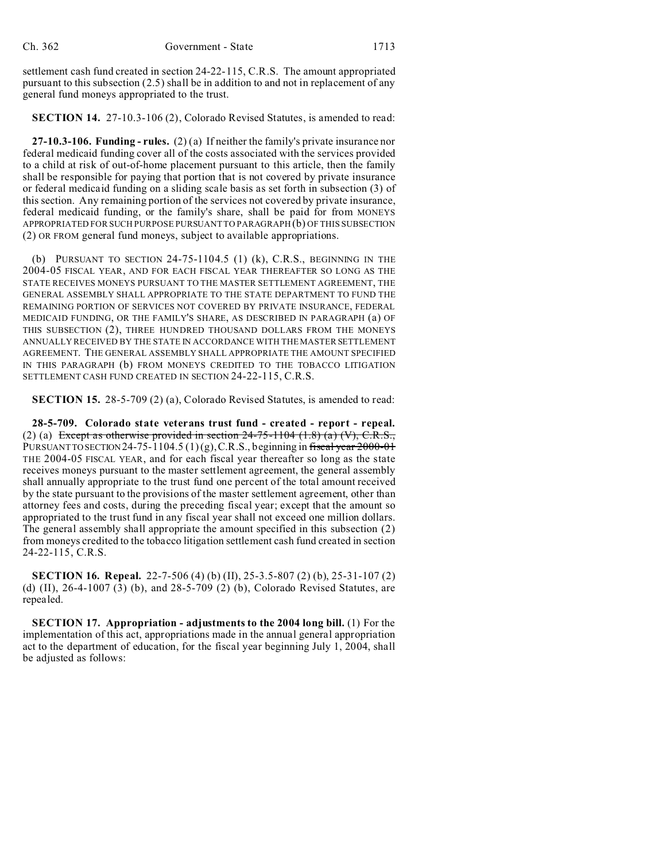settlement cash fund created in section 24-22-115, C.R.S. The amount appropriated pursuant to this subsection (2.5) shall be in addition to and not in replacement of any general fund moneys appropriated to the trust.

**SECTION 14.** 27-10.3-106 (2), Colorado Revised Statutes, is amended to read:

**27-10.3-106. Funding - rules.** (2) (a) If neither the family's private insurance nor federal medicaid funding cover all of the costs associated with the services provided to a child at risk of out-of-home placement pursuant to this article, then the family shall be responsible for paying that portion that is not covered by private insurance or federal medicaid funding on a sliding scale basis as set forth in subsection (3) of this section. Any remaining portion of the services not covered by private insurance, federal medicaid funding, or the family's share, shall be paid for from MONEYS APPROPRIATED FOR SUCH PURPOSE PURSUANT TO PARAGRAPH (b) OF THIS SUBSECTION (2) OR FROM general fund moneys, subject to available appropriations.

(b) PURSUANT TO SECTION 24-75-1104.5 (1) (k), C.R.S., BEGINNING IN THE 2004-05 FISCAL YEAR, AND FOR EACH FISCAL YEAR THEREAFTER SO LONG AS THE STATE RECEIVES MONEYS PURSUANT TO THE MASTER SETTLEMENT AGREEMENT, THE GENERAL ASSEMBLY SHALL APPROPRIATE TO THE STATE DEPARTMENT TO FUND THE REMAINING PORTION OF SERVICES NOT COVERED BY PRIVATE INSURANCE, FEDERAL MEDICAID FUNDING, OR THE FAMILY'S SHARE, AS DESCRIBED IN PARAGRAPH (a) OF THIS SUBSECTION (2), THREE HUNDRED THOUSAND DOLLARS FROM THE MONEYS ANNUALLY RECEIVED BY THE STATE IN ACCORDANCE WITH THE MASTER SETTLEMENT AGREEMENT. THE GENERAL ASSEMBLY SHALL APPROPRIATE THE AMOUNT SPECIFIED IN THIS PARAGRAPH (b) FROM MONEYS CREDITED TO THE TOBACCO LITIGATION SETTLEMENT CASH FUND CREATED IN SECTION 24-22-115, C.R.S.

**SECTION 15.** 28-5-709 (2) (a), Colorado Revised Statutes, is amended to read:

**28-5-709. Colorado state veterans trust fund - created - report - repeal.** (2) (a) Except as otherwise provided in section  $24-75-1104$   $(1.8)$   $(a)$   $(V)$ , C.R.S., PURSUANT TO SECTION 24-75-1104.5 (1)(g), C.R.S., beginning in fiscal year  $2000-01$ THE 2004-05 FISCAL YEAR, and for each fiscal year thereafter so long as the state receives moneys pursuant to the master settlement agreement, the general assembly shall annually appropriate to the trust fund one percent of the total amount received by the state pursuant to the provisions of the master settlement agreement, other than attorney fees and costs, during the preceding fiscal year; except that the amount so appropriated to the trust fund in any fiscal year shall not exceed one million dollars. The general assembly shall appropriate the amount specified in this subsection (2) from moneys credited to the tobacco litigation settlement cash fund created in section 24-22-115, C.R.S.

**SECTION 16. Repeal.** 22-7-506 (4) (b) (II), 25-3.5-807 (2) (b), 25-31-107 (2) (d) (II), 26-4-1007 (3) (b), and 28-5-709 (2) (b), Colorado Revised Statutes, are repealed.

**SECTION 17. Appropriation - adjustments to the 2004 long bill.** (1) For the implementation of this act, appropriations made in the annual general appropriation act to the department of education, for the fiscal year beginning July 1, 2004, shall be adjusted as follows: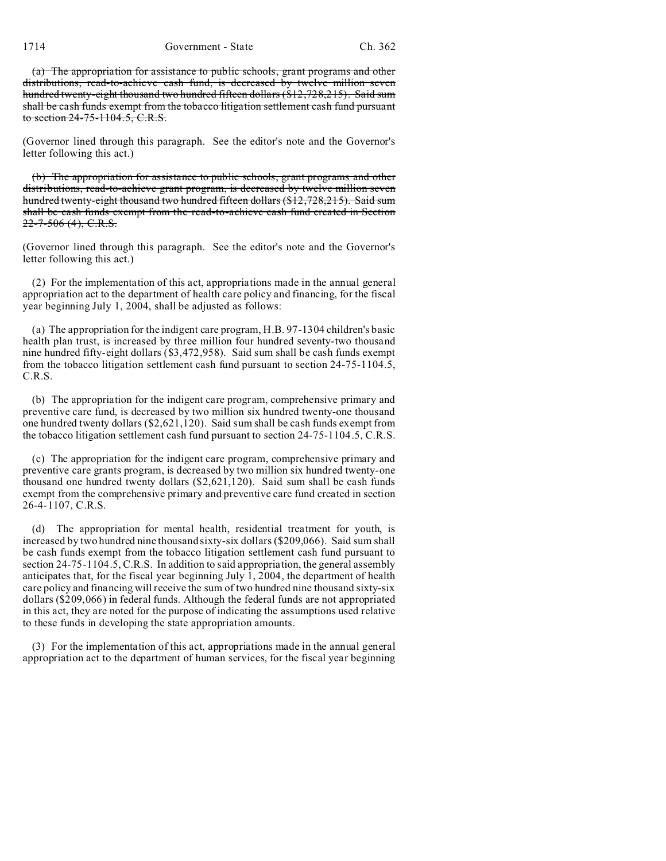1714 Government - State Ch. 362

(a) The appropriation for assistance to public schools, grant programs and other distributions, read-to-achieve cash fund, is decreased by twelve million seven hundred twenty-eight thousand two hundred fifteen dollars (\$12,728,215). Said sum shall be cash funds exempt from the tobacco litigation settlement cash fund pursuant to section 24-75-1104.5, C.R.S.

(Governor lined through this paragraph. See the editor's note and the Governor's letter following this act.)

(b) The appropriation for assistance to public schools, grant programs and other distributions, read-to-achieve grant program, is decreased by twelve million seven hundred twenty-eight thousand two hundred fifteen dollars (\$12,728,215). Said sum shall be cash funds exempt from the read-to-achieve cash fund created in Section  $22 - 7 - 506$  (4), C.R.S.

(Governor lined through this paragraph. See the editor's note and the Governor's letter following this act.)

(2) For the implementation of this act, appropriations made in the annual general appropriation act to the department of health care policy and financing, for the fiscal year beginning July 1, 2004, shall be adjusted as follows:

(a) The appropriation for the indigent care program, H.B. 97-1304 children's basic health plan trust, is increased by three million four hundred seventy-two thousand nine hundred fifty-eight dollars (\$3,472,958). Said sum shall be cash funds exempt from the tobacco litigation settlement cash fund pursuant to section 24-75-1104.5, C.R.S.

(b) The appropriation for the indigent care program, comprehensive primary and preventive care fund, is decreased by two million six hundred twenty-one thousand one hundred twenty dollars (\$2,621,120). Said sum shall be cash funds exempt from the tobacco litigation settlement cash fund pursuant to section 24-75-1104.5, C.R.S.

(c) The appropriation for the indigent care program, comprehensive primary and preventive care grants program, is decreased by two million six hundred twenty-one thousand one hundred twenty dollars (\$2,621,120). Said sum shall be cash funds exempt from the comprehensive primary and preventive care fund created in section 26-4-1107, C.R.S.

(d) The appropriation for mental health, residential treatment for youth, is increased by two hundred nine thousand sixty-six dollars (\$209,066). Said sum shall be cash funds exempt from the tobacco litigation settlement cash fund pursuant to section 24-75-1104.5, C.R.S. In addition to said appropriation, the general assembly anticipates that, for the fiscal year beginning July 1, 2004, the department of health care policy and financing will receive the sum of two hundred nine thousand sixty-six dollars (\$209,066) in federal funds. Although the federal funds are not appropriated in this act, they are noted for the purpose of indicating the assumptions used relative to these funds in developing the state appropriation amounts.

(3) For the implementation of this act, appropriations made in the annual general appropriation act to the department of human services, for the fiscal year beginning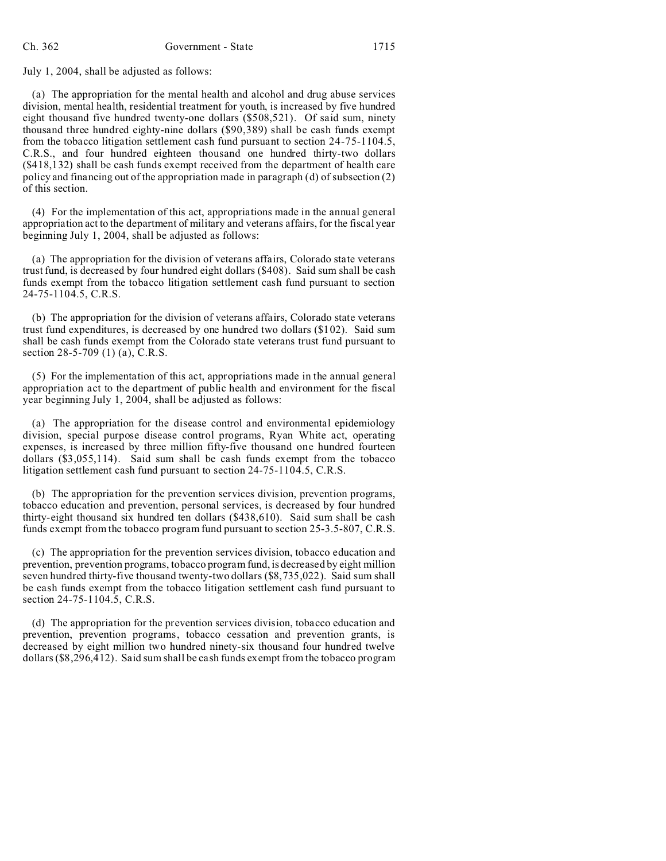July 1, 2004, shall be adjusted as follows:

(a) The appropriation for the mental health and alcohol and drug abuse services division, mental health, residential treatment for youth, is increased by five hundred eight thousand five hundred twenty-one dollars (\$508,521). Of said sum, ninety thousand three hundred eighty-nine dollars (\$90,389) shall be cash funds exempt from the tobacco litigation settlement cash fund pursuant to section 24-75-1104.5, C.R.S., and four hundred eighteen thousand one hundred thirty-two dollars (\$418,132) shall be cash funds exempt received from the department of health care policy and financing out of the appropriation made in paragraph (d) of subsection (2) of this section.

(4) For the implementation of this act, appropriations made in the annual general appropriation act to the department of military and veterans affairs, for the fiscal year beginning July 1, 2004, shall be adjusted as follows:

(a) The appropriation for the division of veterans affairs, Colorado state veterans trust fund, is decreased by four hundred eight dollars (\$408). Said sum shall be cash funds exempt from the tobacco litigation settlement cash fund pursuant to section 24-75-1104.5, C.R.S.

(b) The appropriation for the division of veterans affairs, Colorado state veterans trust fund expenditures, is decreased by one hundred two dollars (\$102). Said sum shall be cash funds exempt from the Colorado state veterans trust fund pursuant to section 28-5-709 (1) (a), C.R.S.

(5) For the implementation of this act, appropriations made in the annual general appropriation act to the department of public health and environment for the fiscal year beginning July 1, 2004, shall be adjusted as follows:

(a) The appropriation for the disease control and environmental epidemiology division, special purpose disease control programs, Ryan White act, operating expenses, is increased by three million fifty-five thousand one hundred fourteen dollars (\$3,055,114). Said sum shall be cash funds exempt from the tobacco litigation settlement cash fund pursuant to section 24-75-1104.5, C.R.S.

(b) The appropriation for the prevention services division, prevention programs, tobacco education and prevention, personal services, is decreased by four hundred thirty-eight thousand six hundred ten dollars (\$438,610). Said sum shall be cash funds exempt from the tobacco program fund pursuant to section 25-3.5-807, C.R.S.

(c) The appropriation for the prevention services division, tobacco education and prevention, prevention programs, tobacco program fund, is decreased by eight million seven hundred thirty-five thousand twenty-two dollars (\$8,735,022). Said sum shall be cash funds exempt from the tobacco litigation settlement cash fund pursuant to section 24-75-1104.5, C.R.S.

(d) The appropriation for the prevention services division, tobacco education and prevention, prevention programs, tobacco cessation and prevention grants, is decreased by eight million two hundred ninety-six thousand four hundred twelve dollars (\$8,296,412). Said sum shall be cash funds exempt from the tobacco program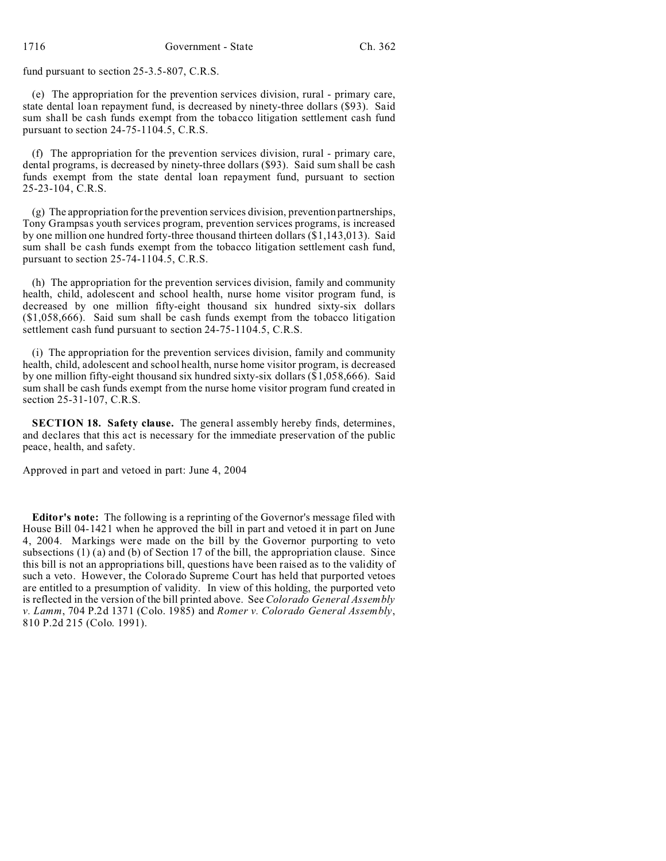fund pursuant to section 25-3.5-807, C.R.S.

(e) The appropriation for the prevention services division, rural - primary care, state dental loan repayment fund, is decreased by ninety-three dollars (\$93). Said sum shall be cash funds exempt from the tobacco litigation settlement cash fund pursuant to section 24-75-1104.5, C.R.S.

(f) The appropriation for the prevention services division, rural - primary care, dental programs, is decreased by ninety-three dollars (\$93). Said sum shall be cash funds exempt from the state dental loan repayment fund, pursuant to section 25-23-104, C.R.S.

(g) The appropriation for the prevention services division, prevention partnerships, Tony Grampsas youth services program, prevention services programs, is increased by one million one hundred forty-three thousand thirteen dollars (\$1,143,013). Said sum shall be cash funds exempt from the tobacco litigation settlement cash fund, pursuant to section 25-74-1104.5, C.R.S.

(h) The appropriation for the prevention services division, family and community health, child, adolescent and school health, nurse home visitor program fund, is decreased by one million fifty-eight thousand six hundred sixty-six dollars (\$1,058,666). Said sum shall be cash funds exempt from the tobacco litigation settlement cash fund pursuant to section 24-75-1104.5, C.R.S.

(i) The appropriation for the prevention services division, family and community health, child, adolescent and school health, nurse home visitor program, is decreased by one million fifty-eight thousand six hundred sixty-six dollars (\$1,058,666). Said sum shall be cash funds exempt from the nurse home visitor program fund created in section 25-31-107, C.R.S.

**SECTION 18. Safety clause.** The general assembly hereby finds, determines, and declares that this act is necessary for the immediate preservation of the public peace, health, and safety.

Approved in part and vetoed in part: June 4, 2004

**Editor's note:** The following is a reprinting of the Governor's message filed with House Bill 04-1421 when he approved the bill in part and vetoed it in part on June 4, 2004. Markings were made on the bill by the Governor purporting to veto subsections  $(1)$   $(a)$  and  $(b)$  of Section 17 of the bill, the appropriation clause. Since this bill is not an appropriations bill, questions have been raised as to the validity of such a veto. However, the Colorado Supreme Court has held that purported vetoes are entitled to a presumption of validity. In view of this holding, the purported veto is reflected in the version of the bill printed above. See *Colorado General Assembly v. Lamm*, 704 P.2d 1371 (Colo. 1985) and *Romer v. Colorado General Assembly*, 810 P.2d 215 (Colo. 1991).